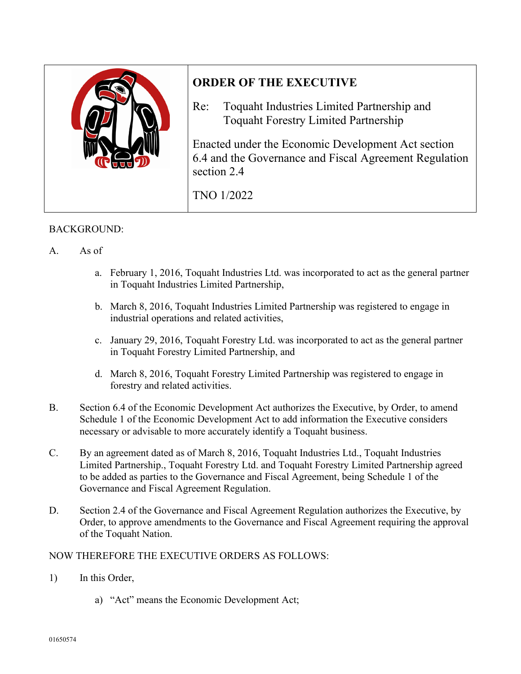

## **ORDER OF THE EXECUTIVE**

Re: Toquaht Industries Limited Partnership and Toquaht Forestry Limited Partnership

Enacted under the Economic Development Act section 6.4 and the Governance and Fiscal Agreement Regulation section 2.4

TNO 1/2022

## BACKGROUND:

- A. As of
	- a. February 1, 2016, Toquaht Industries Ltd. was incorporated to act as the general partner in Toquaht Industries Limited Partnership,
	- b. March 8, 2016, Toquaht Industries Limited Partnership was registered to engage in industrial operations and related activities,
	- c. January 29, 2016, Toquaht Forestry Ltd. was incorporated to act as the general partner in Toquaht Forestry Limited Partnership, and
	- d. March 8, 2016, Toquaht Forestry Limited Partnership was registered to engage in forestry and related activities.
- B. Section 6.4 of the Economic Development Act authorizes the Executive, by Order, to amend Schedule 1 of the Economic Development Act to add information the Executive considers necessary or advisable to more accurately identify a Toquaht business.
- C. By an agreement dated as of March 8, 2016, Toquaht Industries Ltd., Toquaht Industries Limited Partnership., Toquaht Forestry Ltd. and Toquaht Forestry Limited Partnership agreed to be added as parties to the Governance and Fiscal Agreement, being Schedule 1 of the Governance and Fiscal Agreement Regulation.
- D. Section 2.4 of the Governance and Fiscal Agreement Regulation authorizes the Executive, by Order, to approve amendments to the Governance and Fiscal Agreement requiring the approval of the Toquaht Nation.

## NOW THEREFORE THE EXECUTIVE ORDERS AS FOLLOWS:

- 1) In this Order,
	- a) "Act" means the Economic Development Act;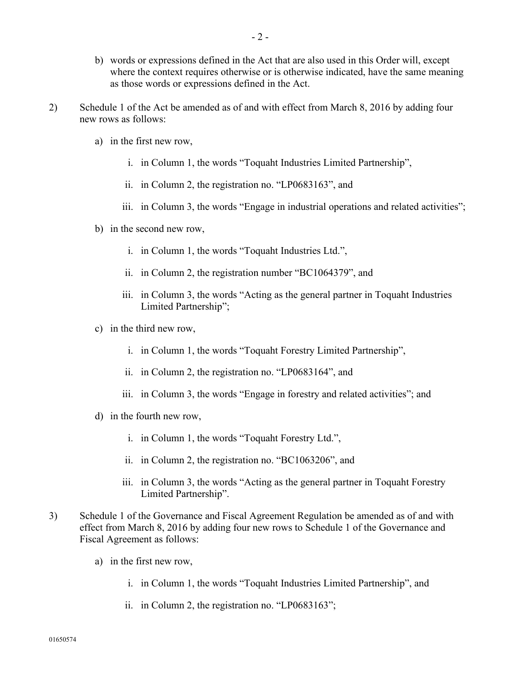- b) words or expressions defined in the Act that are also used in this Order will, except where the context requires otherwise or is otherwise indicated, have the same meaning as those words or expressions defined in the Act.
- 2) Schedule 1 of the Act be amended as of and with effect from March 8, 2016 by adding four new rows as follows:
	- a) in the first new row,
		- i. in Column 1, the words "Toquaht Industries Limited Partnership",
		- ii. in Column 2, the registration no. "LP0683163", and
		- iii. in Column 3, the words "Engage in industrial operations and related activities";
	- b) in the second new row,
		- i. in Column 1, the words "Toquaht Industries Ltd.",
		- ii. in Column 2, the registration number "BC1064379", and
		- iii. in Column 3, the words "Acting as the general partner in Toquaht Industries Limited Partnership";
	- c) in the third new row,
		- i. in Column 1, the words "Toquaht Forestry Limited Partnership",
		- ii. in Column 2, the registration no. "LP0683164", and
		- iii. in Column 3, the words "Engage in forestry and related activities"; and
	- d) in the fourth new row,
		- i. in Column 1, the words "Toquaht Forestry Ltd.",
		- ii. in Column 2, the registration no. "BC1063206", and
		- iii. in Column 3, the words "Acting as the general partner in Toquaht Forestry Limited Partnership".
- 3) Schedule 1 of the Governance and Fiscal Agreement Regulation be amended as of and with effect from March 8, 2016 by adding four new rows to Schedule 1 of the Governance and Fiscal Agreement as follows:
	- a) in the first new row,
		- i. in Column 1, the words "Toquaht Industries Limited Partnership", and
		- ii. in Column 2, the registration no. "LP0683163";